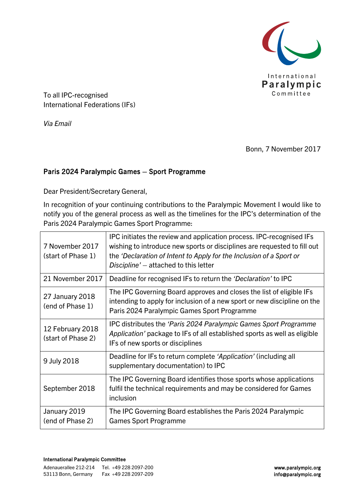

To all IPC-recognised International Federations (IFs)

*Via Email*

Bonn, 7 November 2017

## Paris 2024 Paralympic Games – Sport Programme

Dear President/Secretary General,

In recognition of your continuing contributions to the Paralympic Movement I would like to notify you of the general process as well as the timelines for the IPC's determination of the Paris 2024 Paralympic Games Sport Programme:

| 7 November 2017<br>(start of Phase 1)  | IPC initiates the review and application process. IPC-recognised IFs<br>wishing to introduce new sports or disciplines are requested to fill out<br>the 'Declaration of Intent to Apply for the Inclusion of a Sport or<br>Discipline' – attached to this letter |  |
|----------------------------------------|------------------------------------------------------------------------------------------------------------------------------------------------------------------------------------------------------------------------------------------------------------------|--|
| 21 November 2017                       | Deadline for recognised IFs to return the 'Declaration' to IPC                                                                                                                                                                                                   |  |
| 27 January 2018<br>(end of Phase 1)    | The IPC Governing Board approves and closes the list of eligible IFs<br>intending to apply for inclusion of a new sport or new discipline on the<br>Paris 2024 Paralympic Games Sport Programme                                                                  |  |
| 12 February 2018<br>(start of Phase 2) | IPC distributes the 'Paris 2024 Paralympic Games Sport Programme<br>Application' package to IFs of all established sports as well as eligible<br>IFs of new sports or disciplines                                                                                |  |
| 9 July 2018                            | Deadline for IFs to return complete 'Application' (including all<br>supplementary documentation) to IPC                                                                                                                                                          |  |
| September 2018                         | The IPC Governing Board identifies those sports whose applications<br>fulfil the technical requirements and may be considered for Games<br>inclusion                                                                                                             |  |
| January 2019<br>(end of Phase 2)       | The IPC Governing Board establishes the Paris 2024 Paralympic<br><b>Games Sport Programme</b>                                                                                                                                                                    |  |

## International Paralympic Committee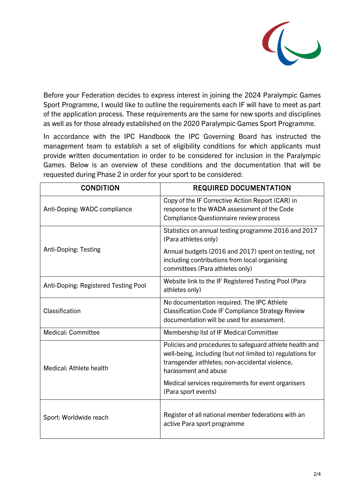

Before your Federation decides to express interest in joining the 2024 Paralympic Games Sport Programme, I would like to outline the requirements each IF will have to meet as part of the application process. These requirements are the same for new sports and disciplines as well as for those already established on the 2020 Paralympic Games Sport Programme.

In accordance with the IPC Handbook the IPC Governing Board has instructed the management team to establish a set of eligibility conditions for which applicants must provide written documentation in order to be considered for inclusion in the Paralympic Games. Below is an overview of these conditions and the documentation that will be requested during Phase 2 in order for your sport to be considered:

| <b>CONDITION</b>                     | <b>REQUIRED DOCUMENTATION</b>                                                                                                                                                                   |
|--------------------------------------|-------------------------------------------------------------------------------------------------------------------------------------------------------------------------------------------------|
| Anti-Doping: WADC compliance         | Copy of the IF Corrective Action Report (CAR) in<br>response to the WADA assessment of the Code<br><b>Compliance Questionnaire review process</b>                                               |
|                                      | Statistics on annual testing programme 2016 and 2017<br>(Para athletes only)                                                                                                                    |
| Anti-Doping: Testing                 | Annual budgets (2016 and 2017) spent on testing, not<br>including contributions from local organising<br>committees (Para athletes only)                                                        |
| Anti-Doping: Registered Testing Pool | Website link to the IF Registered Testing Pool (Para<br>athletes only)                                                                                                                          |
| Classification                       | No documentation required. The IPC Athlete<br><b>Classification Code IF Compliance Strategy Review</b><br>documentation will be used for assessment.                                            |
| <b>Medical: Committee</b>            | Membership list of IF Medical Committee                                                                                                                                                         |
| Medical: Athlete health              | Policies and procedures to safeguard athlete health and<br>well-being, including (but not limited to) regulations for<br>transgender athletes; non-accidental violence,<br>harassment and abuse |
|                                      | Medical services requirements for event organisers<br>(Para sport events)                                                                                                                       |
| Sport: Worldwide reach               | Register of all national member federations with an<br>active Para sport programme                                                                                                              |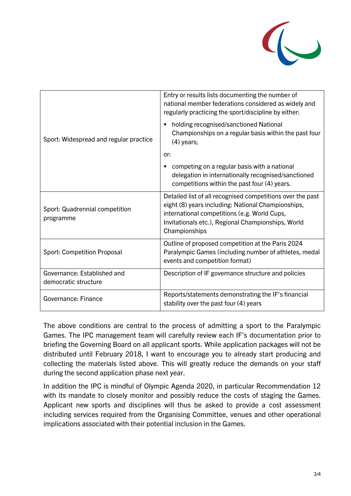

|                                                     | Entry or results lists documenting the number of<br>national member federations considered as widely and<br>regularly practicing the sport/discipline by either:                                                                        |
|-----------------------------------------------------|-----------------------------------------------------------------------------------------------------------------------------------------------------------------------------------------------------------------------------------------|
| Sport: Widespread and regular practice              | holding recognised/sanctioned National<br>Championships on a regular basis within the past four<br>$(4)$ years;                                                                                                                         |
|                                                     | or:                                                                                                                                                                                                                                     |
|                                                     | competing on a regular basis with a national<br>delegation in internationally recognised/sanctioned<br>competitions within the past four (4) years.                                                                                     |
| Sport: Quadrennial competition<br>programme         | Detailed list of all recognised competitions over the past<br>eight (8) years including: National Championships,<br>international competitions (e.g. World Cups,<br>Invitationals etc.), Regional Championships, World<br>Championships |
| <b>Sport: Competition Proposal</b>                  | Outline of proposed competition at the Paris 2024<br>Paralympic Games (including number of athletes, medal<br>events and competition format)                                                                                            |
| Governance: Established and<br>democratic structure | Description of IF governance structure and policies                                                                                                                                                                                     |
| Governance: Finance                                 | Reports/statements demonstrating the IF's financial<br>stability over the past four (4) years                                                                                                                                           |

The above conditions are central to the process of admitting a sport to the Paralympic Games. The IPC management team will carefully review each IF's documentation prior to briefing the Governing Board on all applicant sports. While application packages will not be distributed until February 2018, I want to encourage you to already start producing and collecting the materials listed above. This will greatly reduce the demands on your staff during the second application phase next year.

In addition the IPC is mindful of Olympic Agenda 2020, in particular Recommendation 12 with its mandate to closely monitor and possibly reduce the costs of staging the Games. Applicant new sports and disciplines will thus be asked to provide a cost assessment including services required from the Organising Committee, venues and other operational implications associated with their potential inclusion in the Games.